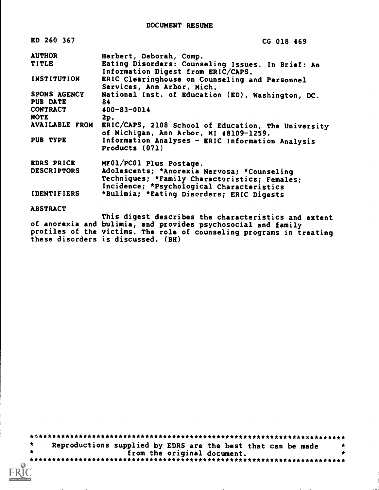| ED 260 367                       | CG 018 469                                                                                                                                                                                                                          |
|----------------------------------|-------------------------------------------------------------------------------------------------------------------------------------------------------------------------------------------------------------------------------------|
| <b>AUTHOR</b><br><b>TITLE</b>    | Herbert, Deborah, Comp.<br>Eating Disorders: Counseling Issues. In Brief: An<br>Information Digest from ERIC/CAPS.                                                                                                                  |
| <b>INSTITUTION</b>               | ERIC Clearinghouse on Counseling and Personnel<br>Services, Ann Arbor, Mich.                                                                                                                                                        |
| SPONS AGENCY<br>PUB DATE         | National Inst. of Education (ED), Washington, DC.<br>84.                                                                                                                                                                            |
| <b>CONTRACT</b><br><b>NOTE</b>   | 400-83-0014<br>2p.                                                                                                                                                                                                                  |
| AVAILABLE FROM                   | ERIC/CAPS, 2108 School of Education, The University<br>of Michigan, Ann Arbor, MI 48109-1259.                                                                                                                                       |
| PUB TYPE                         | Information Analyses - ERIC Information Analysis<br>Products (071)                                                                                                                                                                  |
| EDRS PRICE<br><b>DESCRIPTORS</b> | MF01/PC01 Plus Postage.                                                                                                                                                                                                             |
|                                  | Adolescents; *Anorexia Nervosa; *Counseling<br>Techniques; *Family Characteristics; Females;<br>Incidence; *Psychological Characteristics                                                                                           |
| <b>IDENTIFIERS</b>               | *Bulimia; *Eating Diserders; ERIC Digests                                                                                                                                                                                           |
| <b>ABSTRACT</b>                  |                                                                                                                                                                                                                                     |
|                                  | This digest describes the characteristics and extent<br>of anorexia and bulimia, and provides psychosocial and family<br>profiles of the victims. The role of counseling programs in treating<br>these disorders is discussed. (BH) |

 $\pmb{\star}$  $\pmb{\star}$ \*\*\*\*\*\*\*\* Ô

**I by ERIC**